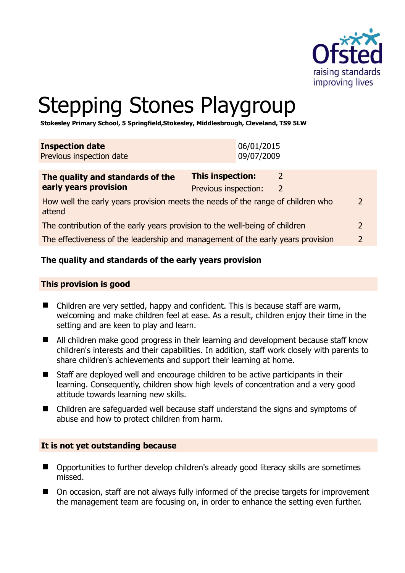

# Stepping Stones Playgroup

**Stokesley Primary School, 5 Springfield,Stokesley, Middlesbrough, Cleveland, TS9 5LW** 

| <b>Inspection date</b><br>Previous inspection date                                        |                                          | 06/01/2015<br>09/07/2009 |                    |  |
|-------------------------------------------------------------------------------------------|------------------------------------------|--------------------------|--------------------|--|
| The quality and standards of the<br>early years provision                                 | This inspection:<br>Previous inspection: |                          | 2<br>$\mathcal{L}$ |  |
| How well the early years provision meets the needs of the range of children who<br>attend |                                          |                          |                    |  |
| The contribution of the early years provision to the well-being of children               |                                          |                          |                    |  |
| The effectiveness of the leadership and management of the early years provision           |                                          |                          |                    |  |

#### **The quality and standards of the early years provision**

#### **This provision is good**

- Children are very settled, happy and confident. This is because staff are warm, welcoming and make children feel at ease. As a result, children enjoy their time in the setting and are keen to play and learn.
- All children make good progress in their learning and development because staff know children's interests and their capabilities. In addition, staff work closely with parents to share children's achievements and support their learning at home.
- Staff are deployed well and encourage children to be active participants in their learning. Consequently, children show high levels of concentration and a very good attitude towards learning new skills.
- Children are safeguarded well because staff understand the signs and symptoms of abuse and how to protect children from harm.

#### **It is not yet outstanding because**

- Opportunities to further develop children's already good literacy skills are sometimes missed.
- On occasion, staff are not always fully informed of the precise targets for improvement the management team are focusing on, in order to enhance the setting even further.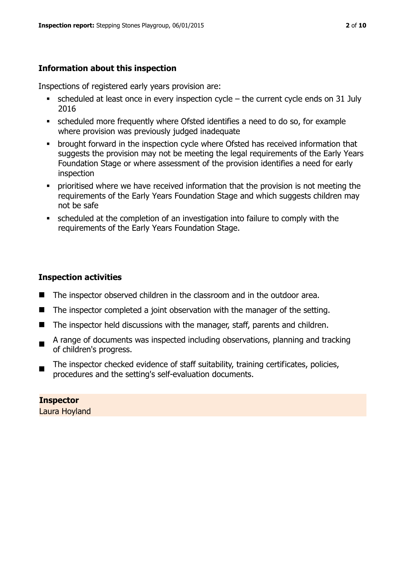# **Information about this inspection**

Inspections of registered early years provision are:

- scheduled at least once in every inspection cycle the current cycle ends on 31 July 2016
- scheduled more frequently where Ofsted identifies a need to do so, for example where provision was previously judged inadequate
- **•** brought forward in the inspection cycle where Ofsted has received information that suggests the provision may not be meeting the legal requirements of the Early Years Foundation Stage or where assessment of the provision identifies a need for early inspection
- **•** prioritised where we have received information that the provision is not meeting the requirements of the Early Years Foundation Stage and which suggests children may not be safe
- scheduled at the completion of an investigation into failure to comply with the requirements of the Early Years Foundation Stage.

#### **Inspection activities**

- The inspector observed children in the classroom and in the outdoor area.
- The inspector completed a joint observation with the manager of the setting.
- The inspector held discussions with the manager, staff, parents and children.
- A range of documents was inspected including observations, planning and tracking of children's progress.
- The inspector checked evidence of staff suitability, training certificates, policies, procedures and the setting's self-evaluation documents.

#### **Inspector**  Laura Hoyland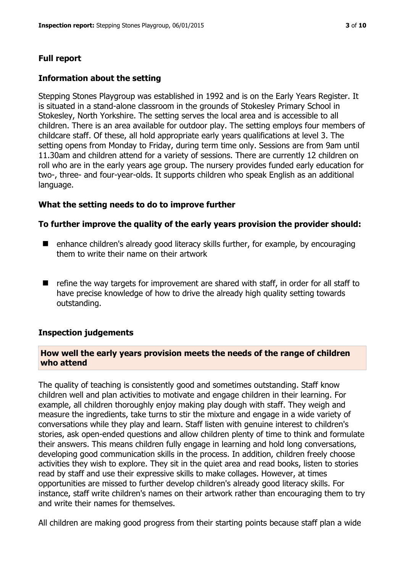# **Full report**

#### **Information about the setting**

Stepping Stones Playgroup was established in 1992 and is on the Early Years Register. It is situated in a stand-alone classroom in the grounds of Stokesley Primary School in Stokesley, North Yorkshire. The setting serves the local area and is accessible to all children. There is an area available for outdoor play. The setting employs four members of childcare staff. Of these, all hold appropriate early years qualifications at level 3. The setting opens from Monday to Friday, during term time only. Sessions are from 9am until 11.30am and children attend for a variety of sessions. There are currently 12 children on roll who are in the early years age group. The nursery provides funded early education for two-, three- and four-year-olds. It supports children who speak English as an additional language.

#### **What the setting needs to do to improve further**

#### **To further improve the quality of the early years provision the provider should:**

- enhance children's already good literacy skills further, for example, by encouraging them to write their name on their artwork
- $\blacksquare$  refine the way targets for improvement are shared with staff, in order for all staff to have precise knowledge of how to drive the already high quality setting towards outstanding.

#### **Inspection judgements**

#### **How well the early years provision meets the needs of the range of children who attend**

The quality of teaching is consistently good and sometimes outstanding. Staff know children well and plan activities to motivate and engage children in their learning. For example, all children thoroughly enjoy making play dough with staff. They weigh and measure the ingredients, take turns to stir the mixture and engage in a wide variety of conversations while they play and learn. Staff listen with genuine interest to children's stories, ask open-ended questions and allow children plenty of time to think and formulate their answers. This means children fully engage in learning and hold long conversations, developing good communication skills in the process. In addition, children freely choose activities they wish to explore. They sit in the quiet area and read books, listen to stories read by staff and use their expressive skills to make collages. However, at times opportunities are missed to further develop children's already good literacy skills. For instance, staff write children's names on their artwork rather than encouraging them to try and write their names for themselves.

All children are making good progress from their starting points because staff plan a wide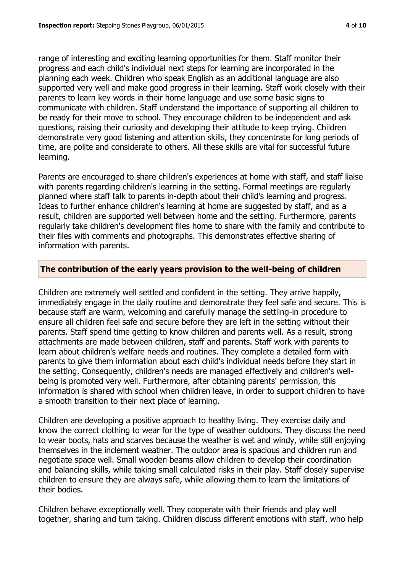range of interesting and exciting learning opportunities for them. Staff monitor their progress and each child's individual next steps for learning are incorporated in the planning each week. Children who speak English as an additional language are also supported very well and make good progress in their learning. Staff work closely with their parents to learn key words in their home language and use some basic signs to communicate with children. Staff understand the importance of supporting all children to be ready for their move to school. They encourage children to be independent and ask questions, raising their curiosity and developing their attitude to keep trying. Children demonstrate very good listening and attention skills, they concentrate for long periods of time, are polite and considerate to others. All these skills are vital for successful future learning.

Parents are encouraged to share children's experiences at home with staff, and staff liaise with parents regarding children's learning in the setting. Formal meetings are regularly planned where staff talk to parents in-depth about their child's learning and progress. Ideas to further enhance children's learning at home are suggested by staff, and as a result, children are supported well between home and the setting. Furthermore, parents regularly take children's development files home to share with the family and contribute to their files with comments and photographs. This demonstrates effective sharing of information with parents.

#### **The contribution of the early years provision to the well-being of children**

Children are extremely well settled and confident in the setting. They arrive happily, immediately engage in the daily routine and demonstrate they feel safe and secure. This is because staff are warm, welcoming and carefully manage the settling-in procedure to ensure all children feel safe and secure before they are left in the setting without their parents. Staff spend time getting to know children and parents well. As a result, strong attachments are made between children, staff and parents. Staff work with parents to learn about children's welfare needs and routines. They complete a detailed form with parents to give them information about each child's individual needs before they start in the setting. Consequently, children's needs are managed effectively and children's wellbeing is promoted very well. Furthermore, after obtaining parents' permission, this information is shared with school when children leave, in order to support children to have a smooth transition to their next place of learning.

Children are developing a positive approach to healthy living. They exercise daily and know the correct clothing to wear for the type of weather outdoors. They discuss the need to wear boots, hats and scarves because the weather is wet and windy, while still enjoying themselves in the inclement weather. The outdoor area is spacious and children run and negotiate space well. Small wooden beams allow children to develop their coordination and balancing skills, while taking small calculated risks in their play. Staff closely supervise children to ensure they are always safe, while allowing them to learn the limitations of their bodies.

Children behave exceptionally well. They cooperate with their friends and play well together, sharing and turn taking. Children discuss different emotions with staff, who help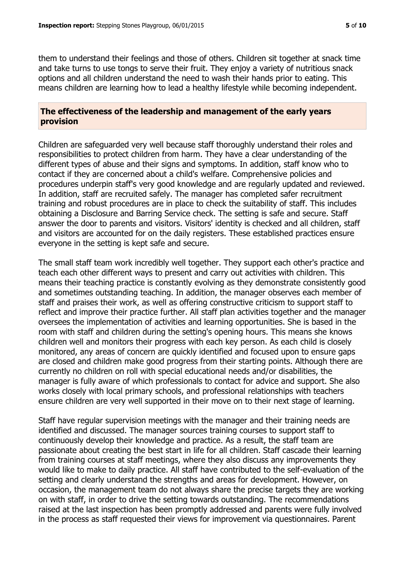them to understand their feelings and those of others. Children sit together at snack time and take turns to use tongs to serve their fruit. They enjoy a variety of nutritious snack options and all children understand the need to wash their hands prior to eating. This means children are learning how to lead a healthy lifestyle while becoming independent.

#### **The effectiveness of the leadership and management of the early years provision**

Children are safeguarded very well because staff thoroughly understand their roles and responsibilities to protect children from harm. They have a clear understanding of the different types of abuse and their signs and symptoms. In addition, staff know who to contact if they are concerned about a child's welfare. Comprehensive policies and procedures underpin staff's very good knowledge and are regularly updated and reviewed. In addition, staff are recruited safely. The manager has completed safer recruitment training and robust procedures are in place to check the suitability of staff. This includes obtaining a Disclosure and Barring Service check. The setting is safe and secure. Staff answer the door to parents and visitors. Visitors' identity is checked and all children, staff and visitors are accounted for on the daily registers. These established practices ensure everyone in the setting is kept safe and secure.

The small staff team work incredibly well together. They support each other's practice and teach each other different ways to present and carry out activities with children. This means their teaching practice is constantly evolving as they demonstrate consistently good and sometimes outstanding teaching. In addition, the manager observes each member of staff and praises their work, as well as offering constructive criticism to support staff to reflect and improve their practice further. All staff plan activities together and the manager oversees the implementation of activities and learning opportunities. She is based in the room with staff and children during the setting's opening hours. This means she knows children well and monitors their progress with each key person. As each child is closely monitored, any areas of concern are quickly identified and focused upon to ensure gaps are closed and children make good progress from their starting points. Although there are currently no children on roll with special educational needs and/or disabilities, the manager is fully aware of which professionals to contact for advice and support. She also works closely with local primary schools, and professional relationships with teachers ensure children are very well supported in their move on to their next stage of learning.

Staff have regular supervision meetings with the manager and their training needs are identified and discussed. The manager sources training courses to support staff to continuously develop their knowledge and practice. As a result, the staff team are passionate about creating the best start in life for all children. Staff cascade their learning from training courses at staff meetings, where they also discuss any improvements they would like to make to daily practice. All staff have contributed to the self-evaluation of the setting and clearly understand the strengths and areas for development. However, on occasion, the management team do not always share the precise targets they are working on with staff, in order to drive the setting towards outstanding. The recommendations raised at the last inspection has been promptly addressed and parents were fully involved in the process as staff requested their views for improvement via questionnaires. Parent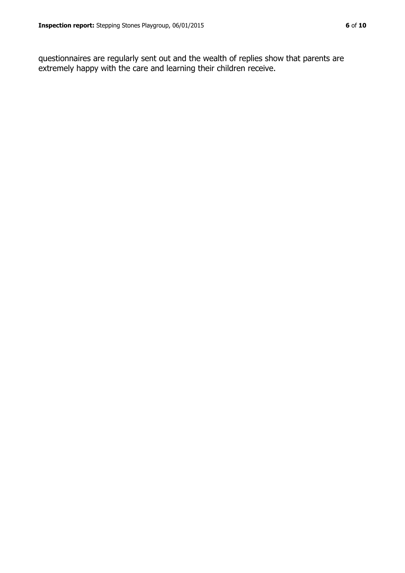questionnaires are regularly sent out and the wealth of replies show that parents are extremely happy with the care and learning their children receive.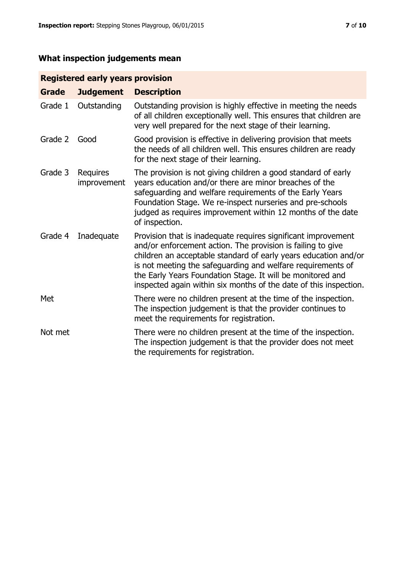# **What inspection judgements mean**

### **Registered early years provision**

| <b>Grade</b> | <b>Judgement</b>               | <b>Description</b>                                                                                                                                                                                                                                                                                                                                                                                |
|--------------|--------------------------------|---------------------------------------------------------------------------------------------------------------------------------------------------------------------------------------------------------------------------------------------------------------------------------------------------------------------------------------------------------------------------------------------------|
| Grade 1      | Outstanding                    | Outstanding provision is highly effective in meeting the needs<br>of all children exceptionally well. This ensures that children are<br>very well prepared for the next stage of their learning.                                                                                                                                                                                                  |
| Grade 2      | Good                           | Good provision is effective in delivering provision that meets<br>the needs of all children well. This ensures children are ready<br>for the next stage of their learning.                                                                                                                                                                                                                        |
| Grade 3      | <b>Requires</b><br>improvement | The provision is not giving children a good standard of early<br>years education and/or there are minor breaches of the<br>safeguarding and welfare requirements of the Early Years<br>Foundation Stage. We re-inspect nurseries and pre-schools<br>judged as requires improvement within 12 months of the date<br>of inspection.                                                                 |
| Grade 4      | Inadequate                     | Provision that is inadequate requires significant improvement<br>and/or enforcement action. The provision is failing to give<br>children an acceptable standard of early years education and/or<br>is not meeting the safeguarding and welfare requirements of<br>the Early Years Foundation Stage. It will be monitored and<br>inspected again within six months of the date of this inspection. |
| Met          |                                | There were no children present at the time of the inspection.<br>The inspection judgement is that the provider continues to<br>meet the requirements for registration.                                                                                                                                                                                                                            |
| Not met      |                                | There were no children present at the time of the inspection.<br>The inspection judgement is that the provider does not meet<br>the requirements for registration.                                                                                                                                                                                                                                |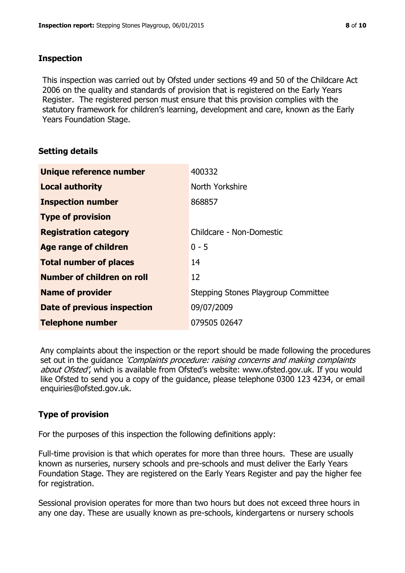#### **Inspection**

This inspection was carried out by Ofsted under sections 49 and 50 of the Childcare Act 2006 on the quality and standards of provision that is registered on the Early Years Register. The registered person must ensure that this provision complies with the statutory framework for children's learning, development and care, known as the Early Years Foundation Stage.

#### **Setting details**

| Unique reference number       | 400332                              |
|-------------------------------|-------------------------------------|
| <b>Local authority</b>        | North Yorkshire                     |
| <b>Inspection number</b>      | 868857                              |
| <b>Type of provision</b>      |                                     |
| <b>Registration category</b>  | Childcare - Non-Domestic            |
| <b>Age range of children</b>  | $0 - 5$                             |
| <b>Total number of places</b> | 14                                  |
| Number of children on roll    | 12                                  |
| <b>Name of provider</b>       | Stepping Stones Playgroup Committee |
| Date of previous inspection   | 09/07/2009                          |
| <b>Telephone number</b>       | 079505 02647                        |

Any complaints about the inspection or the report should be made following the procedures set out in the guidance *'Complaints procedure: raising concerns and making complaints* about Ofsted', which is available from Ofsted's website: www.ofsted.gov.uk. If you would like Ofsted to send you a copy of the guidance, please telephone 0300 123 4234, or email enquiries@ofsted.gov.uk.

# **Type of provision**

For the purposes of this inspection the following definitions apply:

Full-time provision is that which operates for more than three hours. These are usually known as nurseries, nursery schools and pre-schools and must deliver the Early Years Foundation Stage. They are registered on the Early Years Register and pay the higher fee for registration.

Sessional provision operates for more than two hours but does not exceed three hours in any one day. These are usually known as pre-schools, kindergartens or nursery schools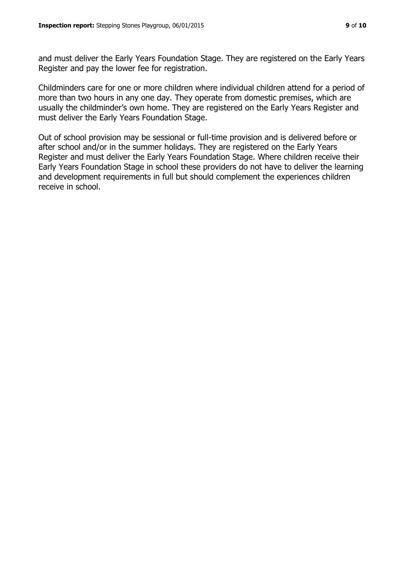and must deliver the Early Years Foundation Stage. They are registered on the Early Years Register and pay the lower fee for registration.

Childminders care for one or more children where individual children attend for a period of more than two hours in any one day. They operate from domestic premises, which are usually the childminder's own home. They are registered on the Early Years Register and must deliver the Early Years Foundation Stage.

Out of school provision may be sessional or full-time provision and is delivered before or after school and/or in the summer holidays. They are registered on the Early Years Register and must deliver the Early Years Foundation Stage. Where children receive their Early Years Foundation Stage in school these providers do not have to deliver the learning and development requirements in full but should complement the experiences children receive in school.